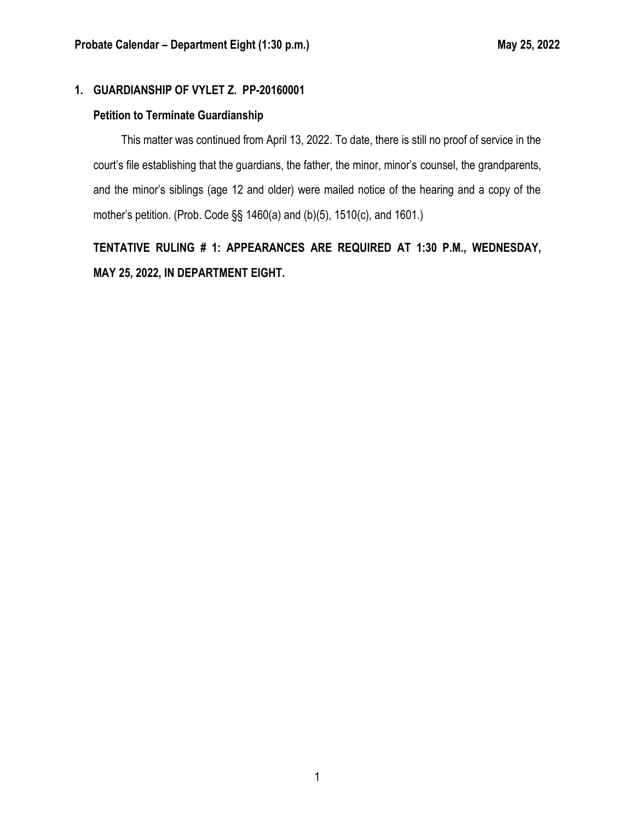## **1. GUARDIANSHIP OF VYLET Z. PP-20160001**

## **Petition to Terminate Guardianship**

This matter was continued from April 13, 2022. To date, there is still no proof of service in the court's file establishing that the guardians, the father, the minor, minor's counsel, the grandparents, and the minor's siblings (age 12 and older) were mailed notice of the hearing and a copy of the mother's petition. (Prob. Code §§ 1460(a) and (b)(5), 1510(c), and 1601.)

**TENTATIVE RULING # 1: APPEARANCES ARE REQUIRED AT 1:30 P.M., WEDNESDAY, MAY 25, 2022, IN DEPARTMENT EIGHT.**